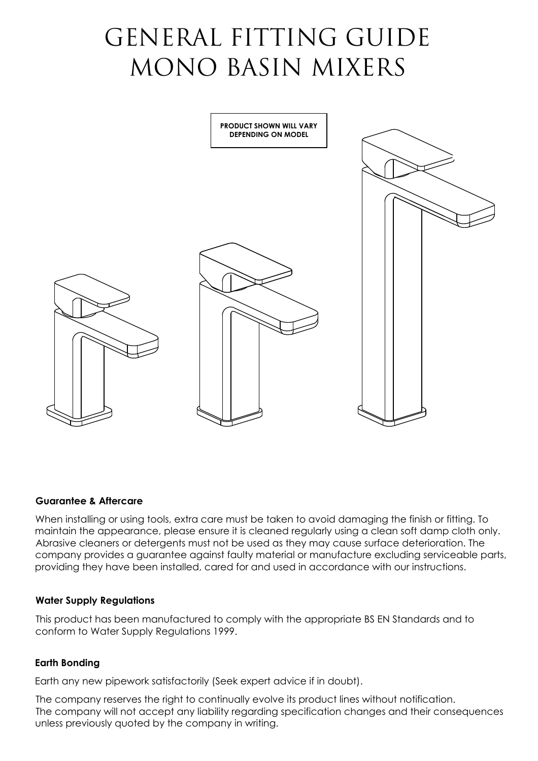# GENERAL FITTING GUIDE MONO BASIN MIXERS



## **Guarantee & Aftercare**

When installing or using tools, extra care must be taken to avoid damaging the finish or fitting. To maintain the appearance, please ensure it is cleaned regularly using a clean soft damp cloth only. Abrasive cleaners or detergents must not be used as they may cause surface deterioration. The company provides a guarantee against faulty material or manufacture excluding serviceable parts, providing they have been installed, cared for and used in accordance with our instructions.

#### **Water Supply Regulations**

This product has been manufactured to comply with the appropriate BS EN Standards and to conform to Water Supply Regulations 1999.

#### **Earth Bonding**

Earth any new pipework satisfactorily (Seek expert advice if in doubt).

The company reserves the right to continually evolve its product lines without notification. The company will not accept any liability regarding specification changes and their consequences unless previously quoted by the company in writing.